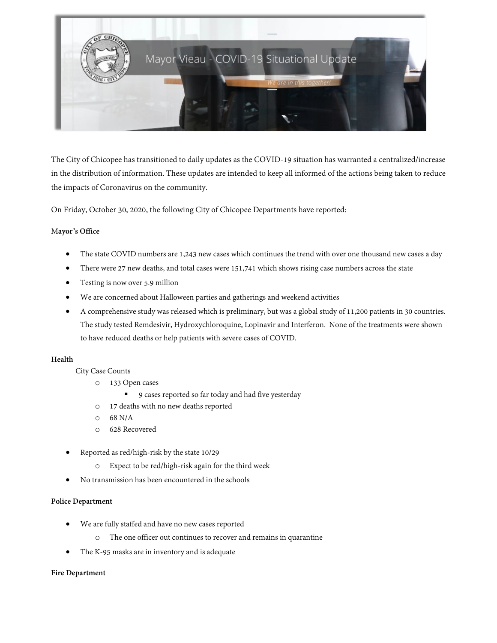

The City of Chicopee has transitioned to daily updates as the COVID-19 situation has warranted a centralized/increase in the distribution of information. These updates are intended to keep all informed of the actions being taken to reduce the impacts of Coronavirus on the community.

On Friday, October 30, 2020, the following City of Chicopee Departments have reported:

## M**ayor's Office**

- The state COVID numbers are 1,243 new cases which continues the trend with over one thousand new cases a day
- There were 27 new deaths, and total cases were 151,741 which shows rising case numbers across the state
- Testing is now over 5.9 million
- We are concerned about Halloween parties and gatherings and weekend activities
- A comprehensive study was released which is preliminary, but was a global study of 11,200 patients in 30 countries. The study tested Remdesivir, Hydroxychloroquine, Lopinavir and Interferon. None of the treatments were shown to have reduced deaths or help patients with severe cases of COVID.

## **Health**

City Case Counts

- o 133 Open cases
	- 9 cases reported so far today and had five yesterday
- o 17 deaths with no new deaths reported
- $O$  68 N/A
- o 628 Recovered
- Reported as red/high-risk by the state 10/29
	- o Expect to be red/high-risk again for the third week
- No transmission has been encountered in the schools

## **Police Department**

- We are fully staffed and have no new cases reported
	- o The one officer out continues to recover and remains in quarantine
- The K-95 masks are in inventory and is adequate

## **Fire Department**